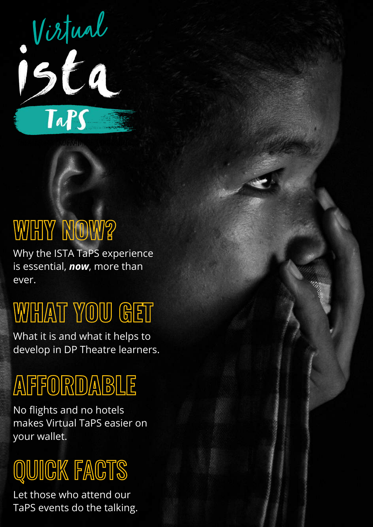

# **WHY NOW?**

Why the ISTA TaPS experience is essential, *now*, more than ever.

## **WHAT YOU GET**

What it is and what it helps to develop in DP Theatre learners.

## **AFFORDABLE**

No flights and no hotels makes Virtual TaPS easier on your wallet.

# QUICK FACTS

Let those who attend our TaPS events do the talking.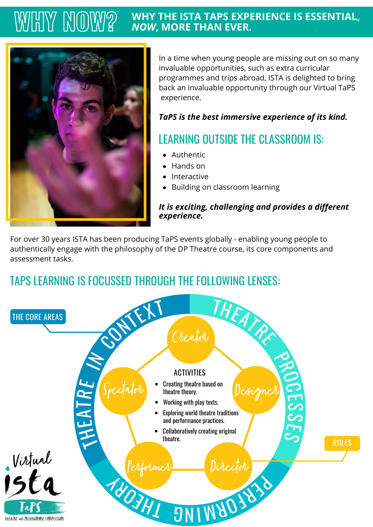#### **WHY THE ISTA TAPS EXPERIENCE IS ESSENTIAL,** *NOW***, MORE THAN EVER. WHY NOW?**



In a time when young people are missing out on so many invaluable opportunities, such as extra curricular programmes and trips abroad, ISTA is delighted to bring back an invaluable opportunity through our Virtual TaPS experience.

#### *TaPS is the best immersive experience of its kind.*

### LEARNING OUTSIDE THE CLASSROOM IS:

- Authentic
- Hands on
- Interactive
- Building on classroom learning

#### *It is exciting, challenging and provides a different experience.*

For over 30 years ISTA has been producing TaPS events globally - enabling young people to authentically engage with the philosophy of the DP Theatre course, its core components and assessment tasks.

### TAPS LEARNING IS FOCUSSED THROUGH THE FOLLOWING LENSES:

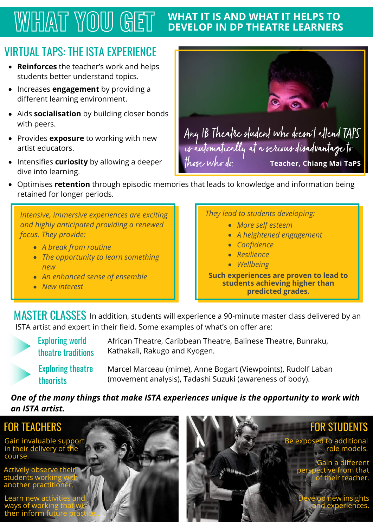#### **WHAT IT IS AND WHAT IT HELPS TO WHAT YOU GET**

### VIRTUAL TAPS: THE ISTA EXPERIENCE

- **Reinforces** the teacher's work and helps students better understand topics.
- Increases **engagement** by providing a different learning environment.
- Aids **socialisation** by building closer bonds with peers.
- Provides **exposure** to working with new artist educators.
- Intensifies **curiosity** by allowing a deeper dive into learning.



Optimises **retention** through episodic memories that leads to knowledge and information being retained for longer periods.

*Intensive, immersive experiences are exciting and highly anticipated providing a renewed focus. They provide:*

- *A break from routine*
- *The opportunity to learn something new*
- *An enhanced sense of ensemble*
- *New interest*

*They lead to students developing:*

- *More self esteem*
- *A heightened engagement*
- *Confidence*
- *Resilience*
- *Wellbeing*

**Such experiences are proven to lead to students achieving higher than predicted grades.**

 ${\sf MASTER\; CLASSES}$  In addition, students will experience a 90-minute master class delivered by an ISTA artist and expert in their field. Some examples of what's on offer are:

Exploring world theatre traditions

African Theatre, Caribbean Theatre, Balinese Theatre, Bunraku, Kathakali, Rakugo and Kyogen.

Exploring theatre theorists

Marcel Marceau (mime), Anne Bogart (Viewpoints), Rudolf Laban (movement analysis), Tadashi Suzuki (awareness of body).

#### *One of the many things that make ISTA experiences unique is the opportunity to work with an ISTA artist.*

#### FOR TEACHERS

Gain invaluable support in their delivery of the course.

Actively observe their students working another practitioner.

Learn new activit ways of working then inform fut



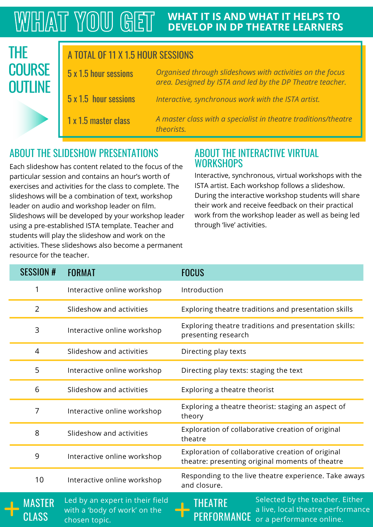#### **WHAT IT IS AND WHAT IT HELPS TO WHAT YOU GET DEVELOP IN DP THEATRE LEARNERS**

#### 5 x 1.5 hour sessions A TOTAL OF 11 X 1.5 HOUR SESSIONS 5 x 1.5 hour sessions 1 x 1.5 master class THE **COURSE OUTLINE**

*Organised through slideshows with activities on the focus area. Designed by ISTA and led by the DP Theatre teacher. Interactive, synchronous work with the ISTA artist.*

*A master class with a specialist in theatre traditions/theatre theorists.*

#### ABOUT THE SLIDESHOW PRESENTATIONS ABOUT THE INTERACTIVE VIRTUAL

Each slideshow has content related to the focus of the particular session and contains an hour's worth of exercises and activities for the class to complete. The slideshows will be a combination of text, workshop leader on audio and workshop leader on film. Slideshows will be developed by your workshop leader using a pre-established ISTA template. Teacher and students will play the slideshow and work on the activities. These slideshows also become a permanent resource for the teacher.

## **WORKSHOPS**

Interactive, synchronous, virtual workshops with the ISTA artist. Each workshop follows a slideshow. During the interactive workshop students will share their work and receive feedback on their practical work from the workshop leader as well as being led through 'live' activities.

| <b>SESSION #</b> | <b>FORMAT</b>                                                                    | <b>FOCUS</b>                                                                                                |
|------------------|----------------------------------------------------------------------------------|-------------------------------------------------------------------------------------------------------------|
|                  | Interactive online workshop                                                      | Introduction                                                                                                |
| $\overline{2}$   | Slideshow and activities                                                         | Exploring theatre traditions and presentation skills                                                        |
| 3                | Interactive online workshop                                                      | Exploring theatre traditions and presentation skills:<br>presenting research                                |
| 4                | Slideshow and activities                                                         | Directing play texts                                                                                        |
| 5                | Interactive online workshop                                                      | Directing play texts: staging the text                                                                      |
| 6                | Slideshow and activities                                                         | Exploring a theatre theorist                                                                                |
| 7                | Interactive online workshop                                                      | Exploring a theatre theorist: staging an aspect of<br>theory                                                |
| 8                | Slideshow and activities                                                         | Exploration of collaborative creation of original<br>theatre                                                |
| 9                | Interactive online workshop                                                      | Exploration of collaborative creation of original<br>theatre: presenting original moments of theatre        |
| 10               | Interactive online workshop                                                      | Responding to the live theatre experience. Take aways<br>and closure.                                       |
| MASTER<br>CLASS  | Led by an expert in their field<br>with a 'body of work' on the<br>chosen topic. | Selected by the teacher. Either<br>THEATRE<br>a live, local theatre performance<br>or a performance online. |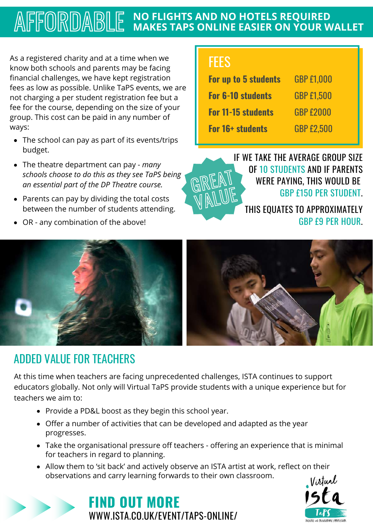#### **NO FLIGHTS AND NO HOTELS REQUIRED** AFFORDABLE **MAKES TAPS ONLINE EASIER ON YOUR WALLET**

As a registered charity and at a time when we know both schools and parents may be facing financial challenges, we have kept registration fees as low as possible. Unlike TaPS events, we are not charging a per student registration fee but a fee for the course, depending on the size of your group. This cost can be paid in any number of ways:

- The school can pay as part of its events/trips budget.
- The theatre department can pay *many schools choose to do this as they see TaPS being an essential part of the DP Theatre course.*
- Parents can pay by dividing the total costs between the number of students attending.
- OR any combination of the above!

## **FEES**

| <b>For up to 5 students</b> | <b>GBP £1,000</b> |
|-----------------------------|-------------------|
| <b>For 6-10 students</b>    | <b>GBP £1.500</b> |
| <b>For 11-15 students</b>   | <b>GBP £2000</b>  |
| <b>For 16+ students</b>     | <b>GBP £2.500</b> |



IF WE TAKE THE AVERAGE GROUP SIZE OF 10 STUDENTS AND IF PARENTS WERE PAYING, THIS WOULD BE GBP £150 PER STUDENT.

THIS EQUATES TO APPROXIMATELY GBP £9 PER HOUR.



### ADDED VALUE FOR TEACHERS

At this time when teachers are facing unprecedented challenges, ISTA continues to support educators globally. Not only will Virtual TaPS provide students with a unique experience but for teachers we aim to:

- Provide a PD&L boost as they begin this school year.
- Offer a number of activities that can be developed and adapted as the year progresses.
- Take the organisational pressure off teachers offering an experience that is minimal for teachers in regard to planning.
- Allow them to 'sit back' and actively observe an ISTA artist at work, reflect on their observations and carry learning forwards to their own classroom.<br>Vistual